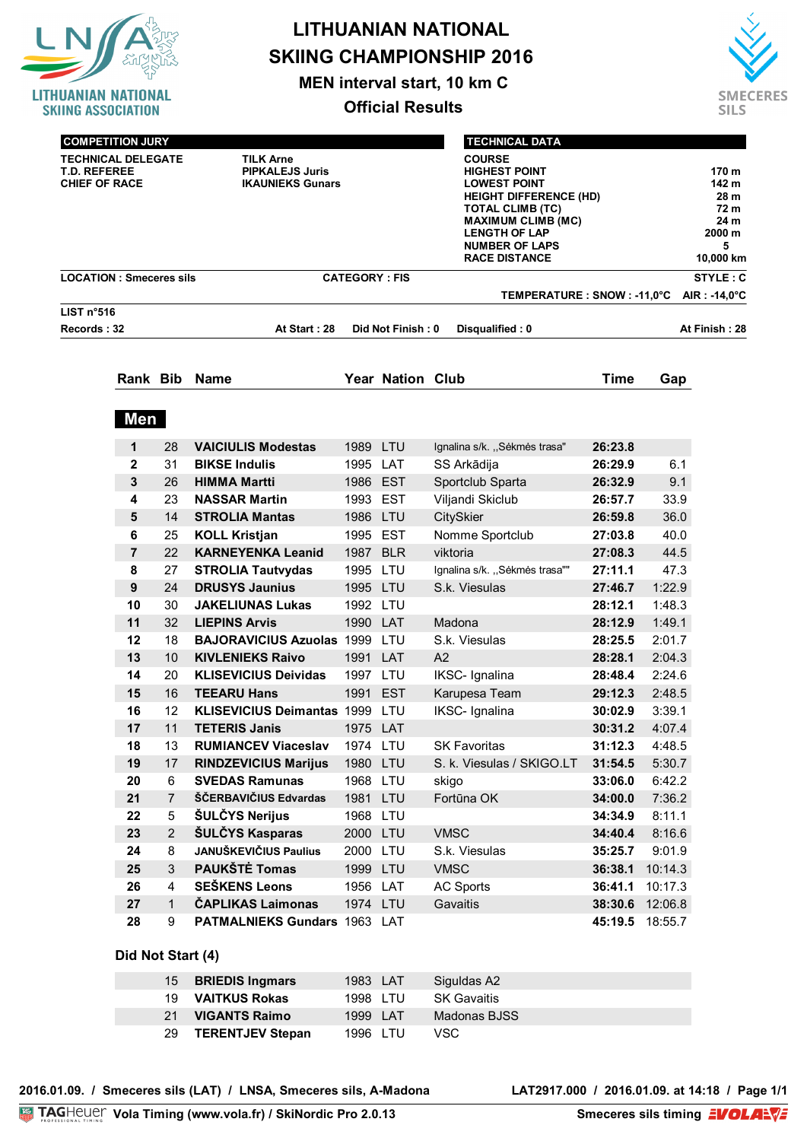|                                                                                                  |                        |                     |                                                  |                         |                   | <b>LITHUANIAN NATIONAL</b><br><b>SKIING CHAMPIONSHIP 2016</b>                                                           |                                                                                    |                  |                       |  |  |  |
|--------------------------------------------------------------------------------------------------|------------------------|---------------------|--------------------------------------------------|-------------------------|-------------------|-------------------------------------------------------------------------------------------------------------------------|------------------------------------------------------------------------------------|------------------|-----------------------|--|--|--|
|                                                                                                  |                        |                     |                                                  |                         |                   |                                                                                                                         |                                                                                    |                  |                       |  |  |  |
| LITHUANIAN NATIONAL                                                                              |                        |                     |                                                  |                         |                   | MEN interval start, 10 km C                                                                                             |                                                                                    |                  | <b>SMECERES</b>       |  |  |  |
| <b>SKIING ASSOCIATION</b>                                                                        |                        |                     |                                                  | <b>Official Results</b> |                   |                                                                                                                         |                                                                                    |                  |                       |  |  |  |
|                                                                                                  |                        |                     |                                                  |                         |                   | <b>TECHNICAL DATA</b>                                                                                                   |                                                                                    |                  |                       |  |  |  |
| <b>COMPETITION JURY</b><br><b>TECHNICAL DELEGATE</b>                                             |                        |                     | <b>TILK Arne</b>                                 |                         |                   |                                                                                                                         | 170 m                                                                              |                  |                       |  |  |  |
| <b>PIPKALEJS Juris</b><br><b>T.D. REFEREE</b><br><b>CHIEF OF RACE</b><br><b>IKAUNIEKS Gunars</b> |                        |                     |                                                  |                         |                   | <b>LOWEST POINT</b><br><b>TOTAL CLIMB (TC)</b><br><b>LENGTH OF LAP</b><br><b>NUMBER OF LAPS</b><br><b>RACE DISTANCE</b> | <b>HIGHEST POINT</b><br><b>HEIGHT DIFFERENCE (HD)</b><br><b>MAXIMUM CLIMB (MC)</b> |                  |                       |  |  |  |
| <b>LOCATION: Smeceres sils</b>                                                                   |                        |                     |                                                  | <b>CATEGORY: FIS</b>    |                   |                                                                                                                         | STYLE: C                                                                           |                  |                       |  |  |  |
|                                                                                                  |                        |                     |                                                  |                         |                   | TEMPERATURE : SNOW : -11,0°C                                                                                            |                                                                                    |                  | $AIR: -14,0^{\circ}C$ |  |  |  |
| LIST n°516<br>Records: 32                                                                        |                        |                     | At Start: 28                                     |                         | Did Not Finish: 0 | Disqualified: 0                                                                                                         |                                                                                    |                  | At Finish: 28         |  |  |  |
|                                                                                                  |                        |                     |                                                  |                         |                   |                                                                                                                         |                                                                                    |                  |                       |  |  |  |
|                                                                                                  |                        |                     | Rank Bib Name                                    |                         | Year Nation Club  |                                                                                                                         | <b>Time</b>                                                                        | Gap              |                       |  |  |  |
|                                                                                                  | Men                    |                     |                                                  |                         |                   |                                                                                                                         |                                                                                    |                  |                       |  |  |  |
|                                                                                                  | $\mathbf 1$            | 28                  | <b>VAICIULIS Modestas</b>                        | 1989 LTU                |                   | Ignalina s/k. "Sėkmės trasa"                                                                                            | 26:23.8                                                                            |                  |                       |  |  |  |
|                                                                                                  | $\mathbf{2}$           | 31                  | <b>BIKSE Indulis</b>                             | 1995 LAT                |                   | SS Arkādija                                                                                                             | 26:29.9                                                                            | 6.1              |                       |  |  |  |
|                                                                                                  | 3                      | 26                  | <b>HIMMA Martti</b>                              | 1986 EST                |                   | Sportclub Sparta                                                                                                        | 26:32.9                                                                            | 9.1              |                       |  |  |  |
|                                                                                                  | 4                      | 23                  | <b>NASSAR Martin</b>                             | 1993 EST                |                   | Viljandi Skiclub                                                                                                        | 26:57.7                                                                            | 33.9             |                       |  |  |  |
|                                                                                                  | 5                      | 14                  | <b>STROLIA Mantas</b>                            | 1986 LTU                |                   | <b>CitySkier</b>                                                                                                        | 26:59.8                                                                            | 36.0             |                       |  |  |  |
|                                                                                                  | 6                      | 25                  | <b>KOLL Kristjan</b>                             | 1995 EST                |                   | Nomme Sportclub                                                                                                         | 27:03.8                                                                            | 40.0             |                       |  |  |  |
|                                                                                                  | $\overline{7}$         | 22                  | <b>KARNEYENKA Leanid</b>                         | 1987 BLR                |                   | viktoria                                                                                                                | 27:08.3                                                                            | 44.5             |                       |  |  |  |
|                                                                                                  | 8                      | 27                  | <b>STROLIA Tautvydas</b>                         | 1995 LTU                |                   | Ignalina s/k. "Sėkmės trasa""                                                                                           | 27:11.1                                                                            | 47.3             |                       |  |  |  |
|                                                                                                  | $\boldsymbol{9}$<br>10 | 24<br>30            | <b>DRUSYS Jaunius</b><br><b>JAKELIUNAS Lukas</b> | 1995 LTU<br>1992 LTU    |                   | S.k. Viesulas                                                                                                           | 27:46.7<br>28:12.1                                                                 | 1:22.9<br>1:48.3 |                       |  |  |  |
|                                                                                                  | 11                     | 32                  | <b>LIEPINS Arvis</b>                             | 1990 LAT                |                   | Madona                                                                                                                  | 28:12.9                                                                            | 1:49.1           |                       |  |  |  |
|                                                                                                  | 12                     | 18                  | <b>BAJORAVICIUS Azuolas 1999 LTU</b>             |                         |                   | S.k. Viesulas                                                                                                           | 28:25.5                                                                            | 2:01.7           |                       |  |  |  |
|                                                                                                  | 13                     | 10                  | <b>KIVLENIEKS Raivo</b>                          | 1991                    | LAT               | A2                                                                                                                      | 28:28.1                                                                            | 2:04.3           |                       |  |  |  |
|                                                                                                  | 14                     | 20                  | <b>KLISEVICIUS Deividas</b>                      | 1997                    | LTU               | IKSC- Ignalina                                                                                                          | 28:48.4                                                                            | 2:24.6           |                       |  |  |  |
|                                                                                                  | 15                     | 16                  | <b>TEEARU Hans</b>                               | 1991                    | <b>EST</b>        | Karupesa Team                                                                                                           | 29:12.3                                                                            | 2:48.5           |                       |  |  |  |
|                                                                                                  | 16                     | 12                  | KLISEVICIUS Deimantas 1999 LTU                   |                         |                   | IKSC- Ignalina                                                                                                          | 30:02.9                                                                            | 3:39.1           |                       |  |  |  |
|                                                                                                  | 17                     | 11                  | <b>TETERIS Janis</b>                             | 1975 LAT                |                   |                                                                                                                         | 30:31.2                                                                            | 4:07.4           |                       |  |  |  |
|                                                                                                  | 18                     | 13                  | <b>RUMIANCEV Viaceslav</b>                       | 1974 LTU                |                   | <b>SK Favoritas</b>                                                                                                     | 31:12.3                                                                            | 4:48.5           |                       |  |  |  |
|                                                                                                  | 19                     | 17                  | <b>RINDZEVICIUS Marijus</b>                      | 1980 LTU                |                   | S. k. Viesulas / SKIGO.LT                                                                                               | 31:54.5                                                                            | 5:30.7           |                       |  |  |  |
|                                                                                                  | 20<br>21               | 6<br>$\overline{7}$ | <b>SVEDAS Ramunas</b><br>ŠČERBAVIČIUS Edvardas   | 1968 LTU                |                   | skigo                                                                                                                   | 33:06.0                                                                            | 6:42.2           |                       |  |  |  |
|                                                                                                  | 22                     | 5                   | <b>ŠULČYS Nerijus</b>                            | 1981 LTU<br>1968 LTU    |                   | Fortūna OK                                                                                                              | 34:00.0<br>34:34.9                                                                 | 7:36.2<br>8:11.1 |                       |  |  |  |
|                                                                                                  | 23                     | $\overline{2}$      | ŠULČYS Kasparas                                  | 2000 LTU                |                   | <b>VMSC</b>                                                                                                             | 34:40.4                                                                            | 8:16.6           |                       |  |  |  |
|                                                                                                  | 24                     | 8                   | JANUŠKEVIČIUS Paulius                            | 2000 LTU                |                   | S.k. Viesulas                                                                                                           | 35:25.7                                                                            | 9:01.9           |                       |  |  |  |
|                                                                                                  | 25                     | 3                   | PAUKŠTĖ Tomas                                    | 1999 LTU                |                   | <b>VMSC</b>                                                                                                             | 36:38.1                                                                            | 10:14.3          |                       |  |  |  |
|                                                                                                  | 26                     | 4                   | <b>SEŠKENS Leons</b>                             | 1956 LAT                |                   | <b>AC Sports</b>                                                                                                        | 36:41.1                                                                            | 10:17.3          |                       |  |  |  |
|                                                                                                  | 27                     | $\mathbf{1}$        | <b>ČAPLIKAS Laimonas</b>                         | 1974 LTU                |                   | Gavaitis                                                                                                                |                                                                                    | 38:30.6 12:06.8  |                       |  |  |  |
|                                                                                                  | 28                     | 9                   | PATMALNIEKS Gundars 1963 LAT                     |                         |                   |                                                                                                                         |                                                                                    | 45:19.5 18:55.7  |                       |  |  |  |
|                                                                                                  | Did Not Start (4)      |                     |                                                  |                         |                   |                                                                                                                         |                                                                                    |                  |                       |  |  |  |
|                                                                                                  |                        | 15                  | <b>BRIEDIS Ingmars</b>                           | 1983 LAT                |                   | Siguldas A2                                                                                                             |                                                                                    |                  |                       |  |  |  |

| 19.   | VAITKUS Rokas        | 1998 LTU | SK Gavaitis  |  |
|-------|----------------------|----------|--------------|--|
| -21 - | <b>VIGANTS Raimo</b> | 1999 LAT | Madonas BJSS |  |
|       | 29 TERENTJEV Stepan  | 1996 LTU | VSC.         |  |
|       |                      |          |              |  |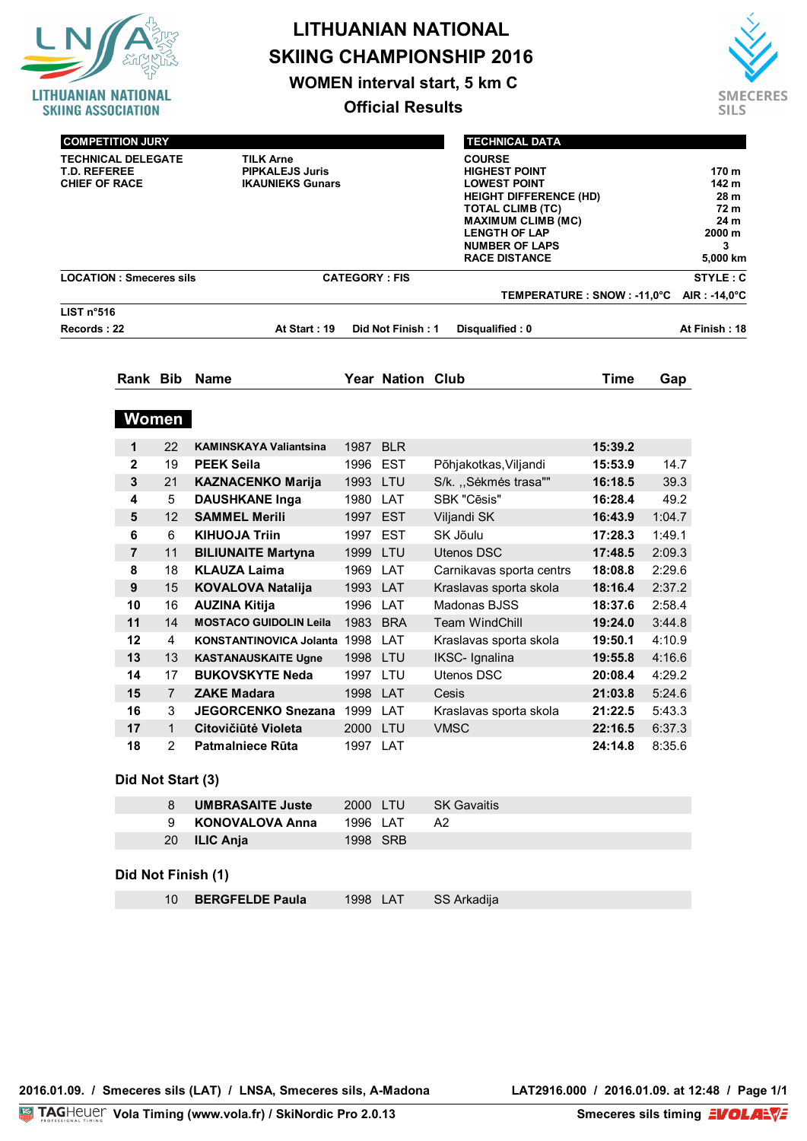

# **LITHUANIAN NATIONAL SKIING CHAMPIONSHIP 2016**

**WOMEN interval start, 5 km C**

**Official Results**



| <b>TECHNICAL DELEGATE</b><br><b>T.D. REFEREE</b><br><b>CHIEF OF RACE</b> |                | <b>COMPETITION JURY</b> | <b>TILK Arne</b><br><b>PIPKALEJS Juris</b><br><b>IKAUNIEKS Gunars</b> |          |                         | <b>HEIGHT DIFFERENCE (HD)</b><br><b>MAXIMUM CLIMB (MC)</b> | 170 m<br>142 m<br>28 m<br>72 m<br>24 m<br>2000 m<br>3<br>5,000 km |        |                       |  |  |  |
|--------------------------------------------------------------------------|----------------|-------------------------|-----------------------------------------------------------------------|----------|-------------------------|------------------------------------------------------------|-------------------------------------------------------------------|--------|-----------------------|--|--|--|
| <b>LOCATION: Smeceres sils</b>                                           |                |                         |                                                                       |          | <b>CATEGORY: FIS</b>    |                                                            |                                                                   |        |                       |  |  |  |
| LIST n <sup>°</sup> 516                                                  |                |                         |                                                                       |          |                         | TEMPERATURE : SNOW : -11,0°C                               |                                                                   |        | $AIR: -14.0^{\circ}C$ |  |  |  |
| Records: 22                                                              |                |                         | At Start: 19                                                          |          | Did Not Finish: 1       | Disqualified: 0                                            |                                                                   |        | At Finish: 18         |  |  |  |
|                                                                          |                |                         |                                                                       |          |                         |                                                            |                                                                   |        |                       |  |  |  |
|                                                                          |                |                         | Rank Bib Name                                                         |          | <b>Year Nation Club</b> |                                                            | <b>Time</b>                                                       | Gap    |                       |  |  |  |
|                                                                          |                | Women                   |                                                                       |          |                         |                                                            |                                                                   |        |                       |  |  |  |
|                                                                          | 1              | 22                      | <b>KAMINSKAYA Valiantsina</b>                                         | 1987 BLR |                         |                                                            | 15:39.2                                                           |        |                       |  |  |  |
|                                                                          | $\mathbf{2}$   | 19                      | <b>PEEK Seila</b>                                                     | 1996 EST |                         | Põhjakotkas, Viljandi                                      | 15:53.9                                                           | 14.7   |                       |  |  |  |
|                                                                          | 3              | 21                      | <b>KAZNACENKO Marija</b>                                              | 1993 LTU |                         | S/k. "Sėkmės trasa""                                       | 16:18.5                                                           | 39.3   |                       |  |  |  |
|                                                                          | 4              | 5                       | <b>DAUSHKANE Inga</b>                                                 | 1980 LAT |                         | SBK "Cēsis"                                                | 16:28.4                                                           | 49.2   |                       |  |  |  |
|                                                                          | 5              | 12                      | <b>SAMMEL Merili</b>                                                  | 1997 EST |                         | Viljandi SK                                                | 16:43.9                                                           | 1:04.7 |                       |  |  |  |
|                                                                          | 6              | 6                       | <b>KIHUOJA Triin</b>                                                  | 1997     | <b>EST</b>              | SK Jõulu                                                   | 17:28.3                                                           | 1:49.1 |                       |  |  |  |
|                                                                          | $\overline{7}$ | 11                      | <b>BILIUNAITE Martyna</b>                                             | 1999 LTU |                         | <b>Utenos DSC</b>                                          | 17:48.5                                                           | 2:09.3 |                       |  |  |  |
|                                                                          | 8              | 18                      | <b>KLAUZA Laima</b>                                                   | 1969 LAT |                         | Carnikavas sporta centrs                                   | 18:08.8                                                           | 2:29.6 |                       |  |  |  |
|                                                                          | 9              | 15                      | <b>KOVALOVA Natalija</b>                                              | 1993 LAT |                         | Kraslavas sporta skola                                     | 18:16.4                                                           | 2:37.2 |                       |  |  |  |
|                                                                          | 10             | 16                      | <b>AUZINA Kitija</b>                                                  | 1996 LAT |                         | Madonas BJSS                                               | 18:37.6                                                           | 2:58.4 |                       |  |  |  |
|                                                                          | 11             | 14                      | <b>MOSTACO GUIDOLIN Leila</b>                                         | 1983     | <b>BRA</b>              | <b>Team WindChill</b>                                      | 19:24.0                                                           | 3:44.8 |                       |  |  |  |
|                                                                          | 12             | 4                       | KONSTANTINOVICA Jolanta 1998                                          |          | LAT                     | Kraslavas sporta skola                                     | 19:50.1                                                           | 4:10.9 |                       |  |  |  |
|                                                                          | 13             | 13                      | <b>KASTANAUSKAITE Ugne</b>                                            | 1998 LTU |                         | <b>IKSC- Ignalina</b>                                      | 19:55.8                                                           | 4:16.6 |                       |  |  |  |
|                                                                          | 14             | 17                      | <b>BUKOVSKYTE Neda</b>                                                | 1997 LTU |                         | Utenos DSC                                                 | 20:08.4                                                           | 4:29.2 |                       |  |  |  |
|                                                                          | 15             | $\overline{7}$          | <b>ZAKE Madara</b>                                                    | 1998 LAT |                         | Cesis                                                      | 21:03.8                                                           | 5:24.6 |                       |  |  |  |
|                                                                          | 16             | 3                       | <b>JEGORCENKO Snezana</b>                                             | 1999 LAT |                         | Kraslavas sporta skola                                     | 21:22.5                                                           | 5:43.3 |                       |  |  |  |
|                                                                          | 17             | $\mathbf{1}$            | Citovičiūtė Violeta                                                   |          | 2000 LTU                | <b>VMSC</b>                                                | 22:16.5 6:37.3                                                    |        |                       |  |  |  |
|                                                                          | 18             | 2                       | <b>Patmalniece Rūta</b>                                               | 1997 LAT |                         |                                                            | 24:14.8                                                           | 8:35.6 |                       |  |  |  |
|                                                                          |                | Did Not Start (3)       |                                                                       |          |                         |                                                            |                                                                   |        |                       |  |  |  |
|                                                                          |                | 8                       | <b>UMBRASAITE Juste</b>                                               | 2000 LTU |                         | <b>SK Gavaitis</b>                                         |                                                                   |        |                       |  |  |  |
|                                                                          |                | 9                       | <b>KONOVALOVA Anna</b>                                                | 1996 LAT |                         | A <sub>2</sub>                                             |                                                                   |        |                       |  |  |  |
|                                                                          |                | 20                      | <b>ILIC Anja</b>                                                      | 1998 SRB |                         |                                                            |                                                                   |        |                       |  |  |  |
|                                                                          |                |                         | Did Not Finish (1)                                                    |          |                         |                                                            |                                                                   |        |                       |  |  |  |
|                                                                          |                | 10 <sup>°</sup>         | <b>BERGFELDE Paula</b>                                                | 1998 LAT |                         | SS Arkadija                                                |                                                                   |        |                       |  |  |  |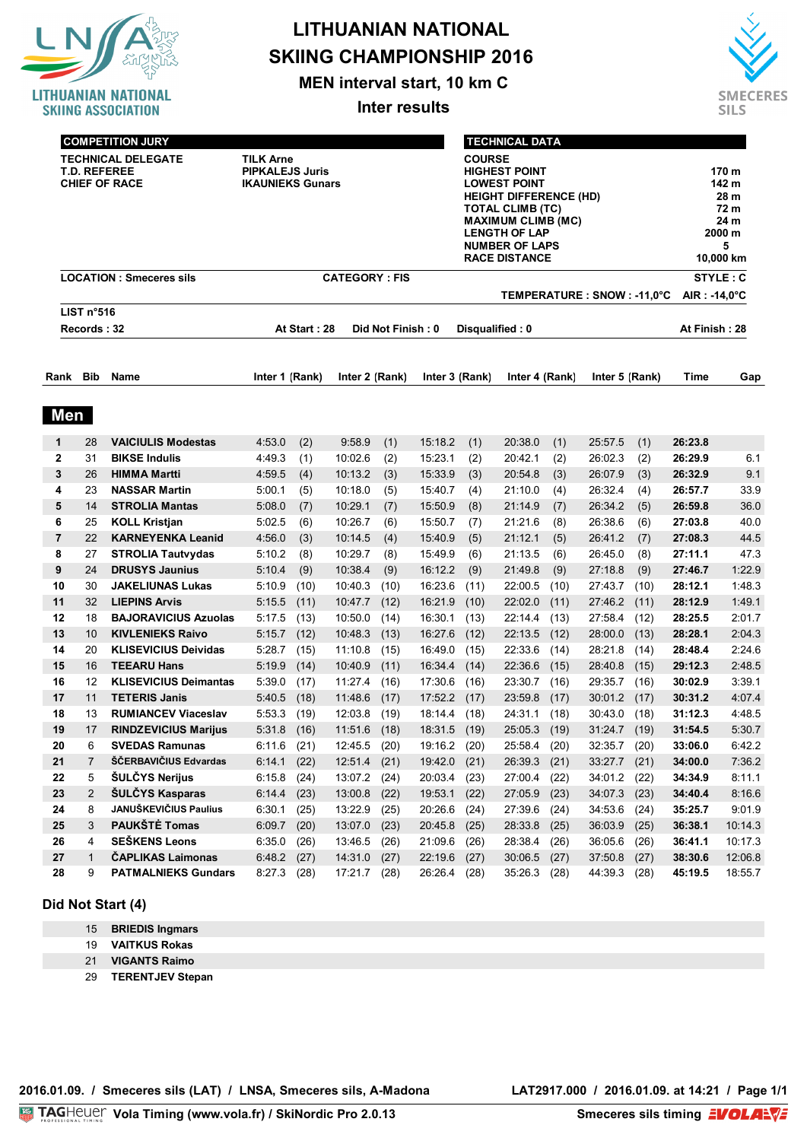

### **LITHUANIAN NATIONAL SKIING CHAMPIONSHIP 2016**

**MEN interval start, 10 km C**

**Inter results**



|                         | <b>COMPETITION JURY</b>                |                                                   |                                                                       |              |                                                                                                                                                                                                                         |                   |                    |                 | <b>TECHNICAL DATA</b> |              |                              |                                                                    |                    |                  |  |  |
|-------------------------|----------------------------------------|---------------------------------------------------|-----------------------------------------------------------------------|--------------|-------------------------------------------------------------------------------------------------------------------------------------------------------------------------------------------------------------------------|-------------------|--------------------|-----------------|-----------------------|--------------|------------------------------|--------------------------------------------------------------------|--------------------|------------------|--|--|
|                         | <b>T.D. REFEREE</b>                    | <b>TECHNICAL DELEGATE</b><br><b>CHIEF OF RACE</b> | <b>TILK Arne</b><br><b>PIPKALEJS Juris</b><br><b>IKAUNIEKS Gunars</b> |              | <b>COURSE</b><br><b>HIGHEST POINT</b><br><b>LOWEST POINT</b><br><b>HEIGHT DIFFERENCE (HD)</b><br>TOTAL CLIMB (TC)<br><b>MAXIMUM CLIMB (MC)</b><br><b>LENGTH OF LAP</b><br><b>NUMBER OF LAPS</b><br><b>RACE DISTANCE</b> |                   |                    |                 |                       |              |                              | 170 m<br>142 m<br>28 m<br>72 m<br>24 m<br>2000 m<br>5<br>10,000 km |                    |                  |  |  |
|                         |                                        | <b>LOCATION: Smeceres sils</b>                    |                                                                       |              | <b>CATEGORY: FIS</b>                                                                                                                                                                                                    |                   |                    |                 |                       |              |                              |                                                                    |                    | STYLE: C         |  |  |
|                         |                                        |                                                   |                                                                       |              |                                                                                                                                                                                                                         |                   |                    |                 |                       |              | TEMPERATURE : SNOW : -11,0°C |                                                                    | AIR : -14,0°C      |                  |  |  |
|                         | LIST n <sup>°</sup> 516<br>Records: 32 |                                                   |                                                                       | At Start: 28 |                                                                                                                                                                                                                         | Did Not Finish: 0 |                    | Disqualified: 0 |                       |              |                              |                                                                    | At Finish : 28     |                  |  |  |
|                         |                                        |                                                   |                                                                       |              |                                                                                                                                                                                                                         |                   |                    |                 |                       |              |                              |                                                                    |                    |                  |  |  |
| Rank                    | <b>Bib</b>                             | <b>Name</b>                                       | Inter 1 (Rank)                                                        |              | Inter 2 (Rank)                                                                                                                                                                                                          |                   | Inter 3 (Rank)     |                 | Inter 4 (Rank)        |              | Inter 5 (Rank)               |                                                                    | Time               | Gap              |  |  |
| <b>Men</b>              |                                        |                                                   |                                                                       |              |                                                                                                                                                                                                                         |                   |                    |                 |                       |              |                              |                                                                    |                    |                  |  |  |
| 1                       | 28                                     | <b>VAICIULIS Modestas</b>                         | 4:53.0                                                                | (2)          | 9:58.9                                                                                                                                                                                                                  | (1)               | 15:18.2            | (1)             | 20:38.0               | (1)          | 25:57.5                      | (1)                                                                | 26:23.8            |                  |  |  |
| 2                       | 31                                     | <b>BIKSE Indulis</b>                              | 4:49.3                                                                | (1)          | 10:02.6                                                                                                                                                                                                                 | (2)               | 15:23.1            | (2)             | 20:42.1               | (2)          | 26:02.3                      | (2)                                                                | 26:29.9            | 6.1              |  |  |
| 3                       | 26                                     | <b>HIMMA Martti</b>                               | 4:59.5                                                                | (4)          | 10:13.2                                                                                                                                                                                                                 | (3)               | 15:33.9            | (3)             | 20:54.8               | (3)          | 26:07.9                      | (3)                                                                | 26:32.9            | 9.1              |  |  |
| 4                       | 23                                     | <b>NASSAR Martin</b>                              | 5:00.1                                                                | (5)          | 10:18.0                                                                                                                                                                                                                 | (5)               | 15:40.7            | (4)             | 21:10.0               | (4)          | 26:32.4                      | (4)                                                                | 26:57.7            | 33.9             |  |  |
| 5                       | 14                                     | <b>STROLIA Mantas</b>                             | 5:08.0                                                                | (7)          | 10:29.1                                                                                                                                                                                                                 | (7)               | 15:50.9            | (8)             | 21:14.9               | (7)          | 26:34.2                      | (5)                                                                | 26:59.8            | 36.0             |  |  |
| 6                       | 25                                     | <b>KOLL Kristjan</b>                              | 5:02.5                                                                | (6)          | 10:26.7                                                                                                                                                                                                                 | (6)               | 15:50.7            | (7)             | 21:21.6               | (8)          | 26:38.6                      | (6)                                                                | 27:03.8            | 40.0             |  |  |
| $\overline{\mathbf{r}}$ | 22                                     | <b>KARNEYENKA Leanid</b>                          | 4:56.0                                                                | (3)          | 10:14.5                                                                                                                                                                                                                 | (4)               | 15:40.9            | (5)             | 21:12.1               | (5)          | 26:41.2                      | (7)                                                                | 27:08.3            | 44.5             |  |  |
| 8<br>9                  | 27<br>24                               | <b>STROLIA Tautvydas</b><br><b>DRUSYS Jaunius</b> | 5:10.2<br>5:10.4                                                      | (8)          | 10:29.7<br>10:38.4                                                                                                                                                                                                      | (8)               | 15:49.9<br>16:12.2 | (6)             | 21:13.5<br>21:49.8    | (6)          | 26:45.0<br>27:18.8           | (8)                                                                | 27:11.1<br>27:46.7 | 47.3<br>1:22.9   |  |  |
| 10                      | 30                                     | <b>JAKELIUNAS Lukas</b>                           | 5:10.9                                                                | (9)<br>(10)  | 10:40.3                                                                                                                                                                                                                 | (9)<br>(10)       | 16:23.6            | (9)<br>(11)     | 22:00.5               | (9)<br>(10)  | 27:43.7                      | (9)<br>(10)                                                        | 28:12.1            | 1:48.3           |  |  |
| 11                      | 32                                     | <b>LIEPINS Arvis</b>                              | 5:15.5                                                                | (11)         | 10:47.7                                                                                                                                                                                                                 | (12)              | 16:21.9            | (10)            | 22:02.0               | (11)         | 27:46.2                      | (11)                                                               | 28:12.9            | 1:49.1           |  |  |
| 12                      | 18                                     | <b>BAJORAVICIUS Azuolas</b>                       | 5:17.5                                                                | (13)         | 10:50.0                                                                                                                                                                                                                 | (14)              | 16:30.1            | (13)            | 22:14.4               | (13)         | 27:58.4                      | (12)                                                               | 28:25.5            | 2:01.7           |  |  |
| 13                      | 10                                     | <b>KIVLENIEKS Raivo</b>                           | 5:15.7                                                                | (12)         | 10:48.3                                                                                                                                                                                                                 | (13)              | 16:27.6            | (12)            | 22:13.5               | (12)         | 28:00.0                      | (13)                                                               | 28:28.1            | 2:04.3           |  |  |
| 14                      | 20                                     | <b>KLISEVICIUS Deividas</b>                       | 5:28.7                                                                | (15)         | 11:10.8                                                                                                                                                                                                                 | (15)              | 16:49.0            | (15)            | 22:33.6               | (14)         | 28:21.8                      | (14)                                                               | 28:48.4            | 2:24.6           |  |  |
| 15                      | 16                                     | <b>TEEARU Hans</b>                                | 5:19.9                                                                | (14)         | 10:40.9                                                                                                                                                                                                                 | (11)              | 16:34.4            | (14)            | 22:36.6               | (15)         | 28:40.8                      | (15)                                                               | 29:12.3            | 2:48.5           |  |  |
| 16                      | 12                                     | <b>KLISEVICIUS Deimantas</b>                      | 5:39.0                                                                | (17)         | 11:27.4                                                                                                                                                                                                                 | (16)              | 17:30.6            | (16)            | 23:30.7               | (16)         | 29:35.7                      | (16)                                                               | 30:02.9            | 3:39.1           |  |  |
| 17                      | 11                                     | <b>TETERIS Janis</b>                              | 5:40.5                                                                | (18)         | 11:48.6                                                                                                                                                                                                                 | (17)              | 17:52.2            | (17)            | 23:59.8               | (17)         | 30:01.2                      | (17)                                                               | 30:31.2            | 4:07.4           |  |  |
| 18                      | 13                                     | <b>RUMIANCEV Viaceslav</b>                        | 5:53.3                                                                | (19)         | 12:03.8                                                                                                                                                                                                                 | (19)              | 18:14.4            | (18)            | 24:31.1               | (18)         | 30:43.0                      | (18)                                                               | 31:12.3            | 4:48.5           |  |  |
| 19                      | 17                                     | <b>RINDZEVICIUS Marijus</b>                       | 5:31.8                                                                | (16)         | 11:51.6                                                                                                                                                                                                                 | (18)              | 18:31.5            | (19)            | 25:05.3               | (19)         | 31:24.7                      | (19)                                                               | 31:54.5            | 5:30.7           |  |  |
| 20<br>21                | 6<br>$\overline{7}$                    | <b>SVEDAS Ramunas</b><br>ŠČERBAVIČIUS Edvardas    | $6:11.6$ (21)                                                         |              | 12:45.5<br>12:51.4                                                                                                                                                                                                      | (20)              | 19:16.2<br>19:42.0 | (20)            | 25:58.4               | (20)         | 32:35.7                      | (20)                                                               | 33:06.0<br>34:00.0 | 6:42.2<br>7:36.2 |  |  |
| 22                      | 5                                      | ŠULČYS Nerijus                                    | 6:14.1<br>6:15.8                                                      | (22)<br>(24) | 13:07.2                                                                                                                                                                                                                 | (21)<br>(24)      | 20:03.4            | (21)<br>(23)    | 26:39.3<br>27:00.4    | (21)<br>(22) | 33:27.7<br>34:01.2           | (21)<br>(22)                                                       | 34:34.9            | 8:11.1           |  |  |
| 23                      | 2                                      | ŠULČYS Kasparas                                   | 6:14.4                                                                | (23)         | 13:00.8                                                                                                                                                                                                                 | (22)              | 19:53.1            | (22)            | 27:05.9               | (23)         | 34:07.3                      | (23)                                                               | 34:40.4            | 8:16.6           |  |  |
| 24                      | 8                                      | JANUŠKEVIČIUS Paulius                             | 6:30.1                                                                | (25)         | 13:22.9                                                                                                                                                                                                                 | (25)              | 20:26.6            | (24)            | 27:39.6               | (24)         | 34:53.6                      | (24)                                                               | 35:25.7            | 9:01.9           |  |  |
| 25                      | 3                                      | PAUKŠTĖ Tomas                                     | 6:09.7                                                                | (20)         | 13:07.0                                                                                                                                                                                                                 | (23)              | 20:45.8            | (25)            | 28:33.8               | (25)         | 36:03.9                      | (25)                                                               | 36:38.1            | 10:14.3          |  |  |
| 26                      | 4                                      | <b>SEŠKENS Leons</b>                              | 6:35.0                                                                | (26)         | 13:46.5                                                                                                                                                                                                                 | (26)              | 21:09.6            | (26)            | 28:38.4               | (26)         | 36:05.6                      | (26)                                                               | 36:41.1            | 10:17.3          |  |  |
| 27                      | 1                                      | ČAPLIKAS Laimonas                                 | $6:48.2$ (27)                                                         |              | 14:31.0                                                                                                                                                                                                                 | (27)              | 22:19.6            | (27)            | 30:06.5               | (27)         | 37:50.8                      | (27)                                                               | 38:30.6            | 12:06.8          |  |  |
| 28                      | 9                                      | <b>PATMALNIEKS Gundars</b>                        | $8:27.3$ (28)                                                         |              | 17:21.7                                                                                                                                                                                                                 | (28)              | 26:26.4            | (28)            | 35:26.3               | (28)         | 44:39.3                      | (28)                                                               | 45:19.5            | 18:55.7          |  |  |

#### **Did Not Start (4)**

- 15 **BRIEDIS Ingmars**
- 19 **VAITKUS Rokas**
- 21 **VIGANTS Raimo**
- 29 **TERENTJEV Stepan**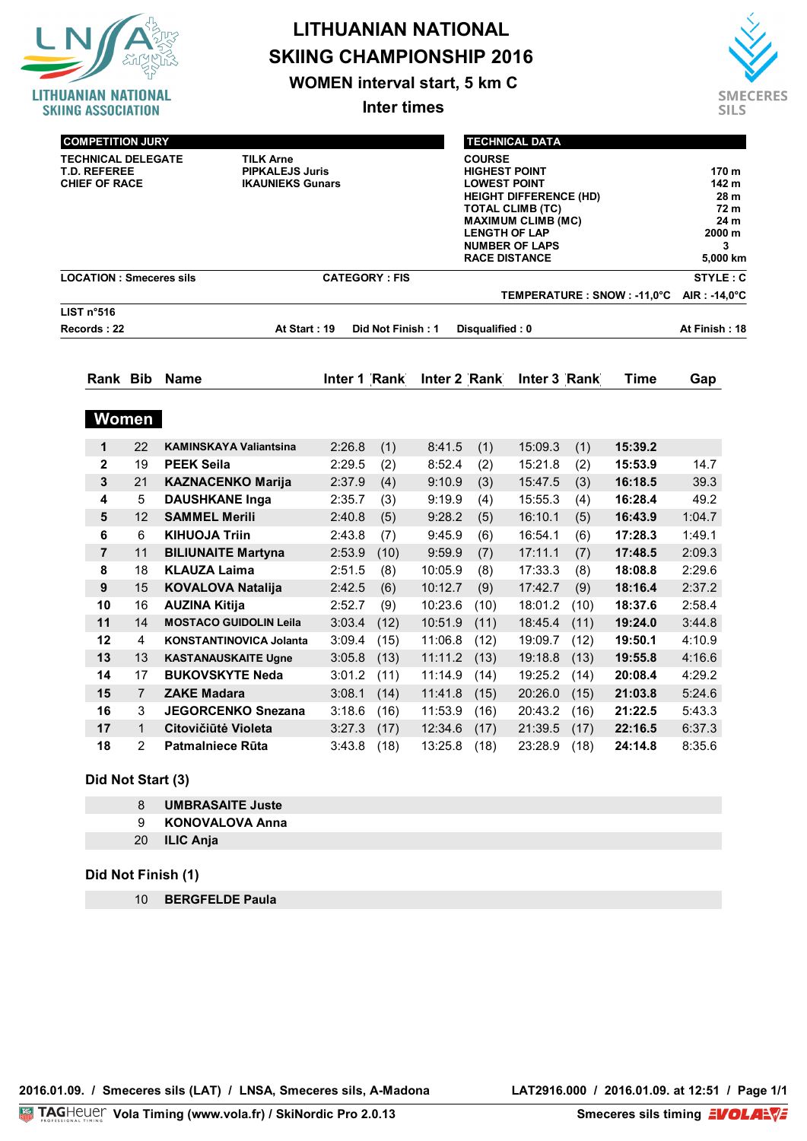

## **LITHUANIAN NATIONAL SKIING CHAMPIONSHIP 2016**

**WOMEN interval start, 5 km C**

**Inter times**



| <b>COMPETITION JURY</b>                                                  |              |                                                                       |                      | <b>TECHNICAL DATA</b> |                                                                                                                                                                                                                                |                 |              |      |                              |               |
|--------------------------------------------------------------------------|--------------|-----------------------------------------------------------------------|----------------------|-----------------------|--------------------------------------------------------------------------------------------------------------------------------------------------------------------------------------------------------------------------------|-----------------|--------------|------|------------------------------|---------------|
| <b>TECHNICAL DELEGATE</b><br><b>T.D. REFEREE</b><br><b>CHIEF OF RACE</b> |              | <b>TILK Arne</b><br><b>PIPKALEJS Juris</b><br><b>IKAUNIEKS Gunars</b> |                      |                       | <b>COURSE</b><br><b>HIGHEST POINT</b><br><b>LOWEST POINT</b><br><b>HEIGHT DIFFERENCE (HD)</b><br><b>TOTAL CLIMB (TC)</b><br><b>MAXIMUM CLIMB (MC)</b><br><b>LENGTH OF LAP</b><br><b>NUMBER OF LAPS</b><br><b>RACE DISTANCE</b> |                 |              |      |                              |               |
| <b>LOCATION: Smeceres sils</b>                                           |              |                                                                       | <b>CATEGORY: FIS</b> |                       |                                                                                                                                                                                                                                |                 |              |      | STYLE: C                     |               |
| LIST n°516                                                               |              |                                                                       |                      |                       |                                                                                                                                                                                                                                |                 |              |      | TEMPERATURE : SNOW : -11,0°C | AIR: -14,0°C  |
| Records: 22                                                              |              | At Start: 19                                                          |                      | Did Not Finish: 1     |                                                                                                                                                                                                                                | Disqualified: 0 |              |      |                              | At Finish: 18 |
|                                                                          |              | Rank Bib Name                                                         | Inter 1 Rank         |                       | Inter 2 Rank                                                                                                                                                                                                                   |                 | Inter 3 Rank |      | Time                         | Gap           |
|                                                                          | <b>Women</b> |                                                                       |                      |                       |                                                                                                                                                                                                                                |                 |              |      |                              |               |
| 1                                                                        | 22           | <b>KAMINSKAYA Valiantsina</b>                                         | 2:26.8               | (1)                   | 8:41.5                                                                                                                                                                                                                         | (1)             | 15:09.3      | (1)  | 15:39.2                      |               |
| $\mathbf{2}$                                                             | 19           | <b>PEEK Seila</b>                                                     | 2:29.5               | (2)                   | 8:52.4                                                                                                                                                                                                                         | (2)             | 15:21.8      | (2)  | 15:53.9                      | 14.7          |
| 3                                                                        | 21           | <b>KAZNACENKO Marija</b>                                              | 2:37.9               | (4)                   | 9:10.9                                                                                                                                                                                                                         | (3)             | 15:47.5      | (3)  | 16:18.5                      | 39.3          |
| 4                                                                        | 5            | <b>DAUSHKANE Inga</b>                                                 | 2:35.7               | (3)                   | 9:19.9                                                                                                                                                                                                                         | (4)             | 15:55.3      | (4)  | 16:28.4                      | 49.2          |
| 5                                                                        | 12           | <b>SAMMEL Merili</b>                                                  | 2:40.8               | (5)                   | 9:28.2                                                                                                                                                                                                                         | (5)             | 16:10.1      | (5)  | 16:43.9                      | 1:04.7        |
| 6                                                                        | 6            | <b>KIHUOJA Triin</b>                                                  | 2:43.8               | (7)                   | 9:45.9                                                                                                                                                                                                                         | (6)             | 16:54.1      | (6)  | 17:28.3                      | 1:49.1        |
| 7                                                                        | 11           | <b>BILIUNAITE Martyna</b>                                             | 2:53.9               | (10)                  | 9:59.9                                                                                                                                                                                                                         | (7)             | 17:11.1      | (7)  | 17:48.5                      | 2:09.3        |
| 8                                                                        | 18           | <b>KLAUZA Laima</b>                                                   | 2:51.5               | (8)                   | 10:05.9                                                                                                                                                                                                                        | (8)             | 17:33.3      | (8)  | 18:08.8                      | 2:29.6        |
| 9                                                                        | 15           | <b>KOVALOVA Natalija</b>                                              | 2:42.5               | (6)                   | 10:12.7                                                                                                                                                                                                                        | (9)             | 17:42.7      | (9)  | 18:16.4                      | 2:37.2        |
| 10                                                                       | 16           | <b>AUZINA Kitija</b>                                                  | 2:52.7               | (9)                   | 10:23.6                                                                                                                                                                                                                        | (10)            | 18:01.2      | (10) | 18:37.6                      | 2:58.4        |
| 11                                                                       | 14           | <b>MOSTACO GUIDOLIN Leila</b>                                         | 3:03.4               | (12)                  | 10:51.9                                                                                                                                                                                                                        | (11)            | 18:45.4      | (11) | 19:24.0                      | 3:44.8        |
| 12                                                                       | 4            | <b>KONSTANTINOVICA Jolanta</b>                                        | 3:09.4               | (15)                  | 11:06.8                                                                                                                                                                                                                        | (12)            | 19:09.7      | (12) | 19:50.1                      | 4:10.9        |
| 13                                                                       | 13           | <b>KASTANAUSKAITE Ugne</b>                                            | 3:05.8               | (13)                  | 11:11.2                                                                                                                                                                                                                        | (13)            | 19:18.8      | (13) | 19:55.8                      | 4:16.6        |
| 14                                                                       | 17           | <b>BUKOVSKYTE Neda</b>                                                | 3:01.2               | (11)                  | 11:14.9                                                                                                                                                                                                                        | (14)            | 19:25.2      | (14) | 20:08.4                      | 4:29.2        |

 7 **ZAKE Madara** 3:08.1 (14) 11:41.8 (15) 20:26.0 (15) **21:03.8** 5:24.6 3 **JEGORCENKO Snezana** 3:18.6 (16) 11:53.9 (16) 20:43.2 (16) **21:22.5** 5:43.3 1 **Citovičiūtė Violeta** 3:27.3 (17) 12:34.6 (17) 21:39.5 (17) **22:16.5** 6:37.3 2 **Patmalniece Rūta** 3:43.8 (18) 13:25.8 (18) 23:28.9 (18) **24:14.8** 8:35.6

### **Did Not Start (3)**

- 8 **UMBRASAITE Juste**
- 9 **KONOVALOVA Anna**
- 20 **ILIC Anja**

#### **Did Not Finish (1)**

10 **BERGFELDE Paula**

**Smeceres sils timing EVOLAEVE**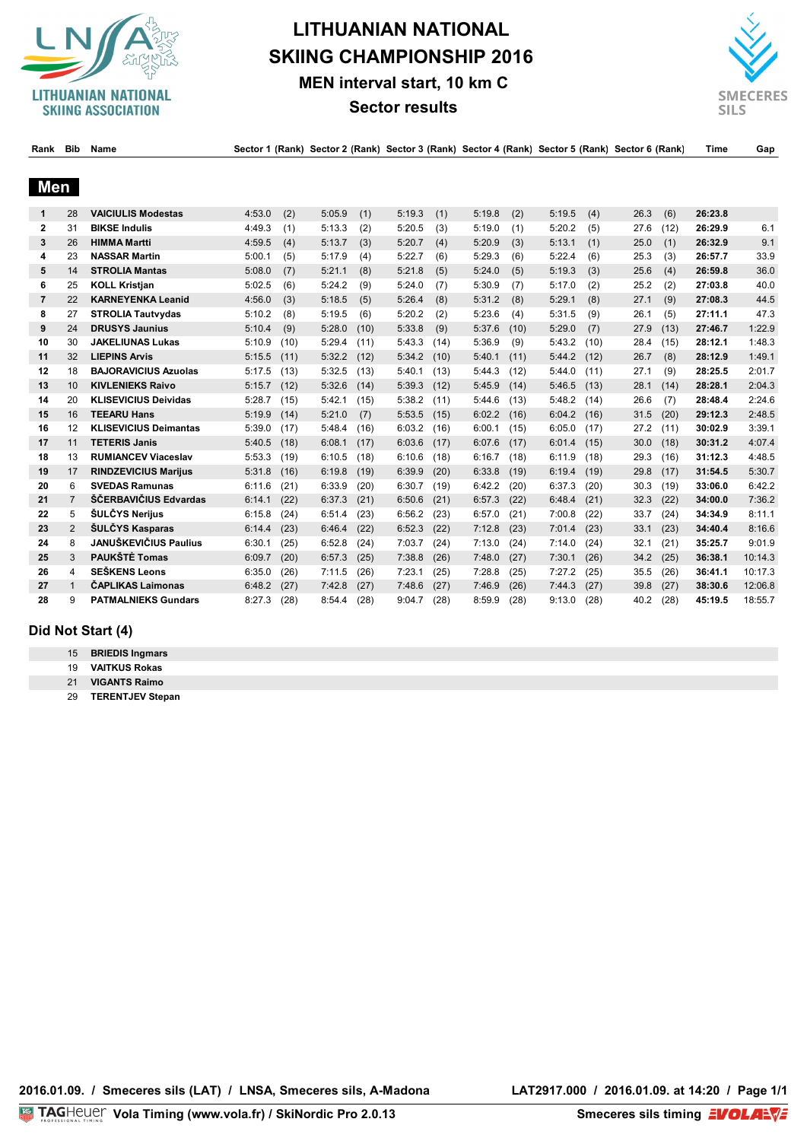

# **LITHUANIAN NATIONAL SKIING CHAMPIONSHIP 2016 MEN interval start, 10 km C**



Dayle, Dily, Name, Carlo Carlo Carlo Carlo Carlo Carlo Carlo Carlo Carlo Carlo Carlo Carlo Carlo Carlo Carlo Time, Car<br>Paul Dily, Name Carlo Carlo Carlo Carlo Carlo Carlo Carlo Carlo Carlo Carlo Carlo Carlo Carlo Carlo Tim



| naun           | . טוש          | наше                         |        |      | $\sigma$ occupi i (ivality) $\sigma$ ccupi z (ivality) occupi y (ivality) occupi y colority (ivality) occupi y (ivality) |      |        |      |        |      |        |      |      |      | ,,,,,,  | Ψα      |
|----------------|----------------|------------------------------|--------|------|--------------------------------------------------------------------------------------------------------------------------|------|--------|------|--------|------|--------|------|------|------|---------|---------|
| Men            |                |                              |        |      |                                                                                                                          |      |        |      |        |      |        |      |      |      |         |         |
| 1              | 28             | <b>VAICIULIS Modestas</b>    | 4:53.0 | (2)  | 5:05.9                                                                                                                   | (1)  | 5:19.3 | (1)  | 5:19.8 | (2)  | 5:19.5 | (4)  | 26.3 | (6)  | 26:23.8 |         |
| $\mathbf{2}$   | 31             | <b>BIKSE Indulis</b>         | 4:49.3 | (1)  | 5:13.3                                                                                                                   | (2)  | 5:20.5 | (3)  | 5:19.0 | (1)  | 5:20.2 | (5)  | 27.6 | (12) | 26:29.9 | 6.1     |
| 3              | 26             | <b>HIMMA Martti</b>          | 4:59.5 | (4)  | 5:13.7                                                                                                                   | (3)  | 5:20.7 | (4)  | 5:20.9 | (3)  | 5:13.1 | (1)  | 25.0 | (1)  | 26:32.9 | 9.1     |
| 4              | 23             | <b>NASSAR Martin</b>         | 5:00.1 | (5)  | 5:17.9                                                                                                                   | (4)  | 5:22.7 | (6)  | 5:29.3 | (6)  | 5:22.4 | (6)  | 25.3 | (3)  | 26:57.7 | 33.9    |
| 5              | 14             | <b>STROLIA Mantas</b>        | 5:08.0 | (7)  | 5:21.1                                                                                                                   | (8)  | 5:21.8 | (5)  | 5:24.0 | (5)  | 5:19.3 | (3)  | 25.6 | (4)  | 26:59.8 | 36.0    |
| 6              | 25             | <b>KOLL Kristjan</b>         | 5:02.5 | (6)  | 5:24.2                                                                                                                   | (9)  | 5:24.0 | (7)  | 5:30.9 | (7)  | 5:17.0 | (2)  | 25.2 | (2)  | 27:03.8 | 40.0    |
| $\overline{7}$ | 22             | <b>KARNEYENKA Leanid</b>     | 4:56.0 | (3)  | 5:18.5                                                                                                                   | (5)  | 5:26.4 | (8)  | 5:31.2 | (8)  | 5:29.1 | (8)  | 27.1 | (9)  | 27:08.3 | 44.5    |
| 8              | 27             | <b>STROLIA Tautvydas</b>     | 5:10.2 | (8)  | 5:19.5                                                                                                                   | (6)  | 5:20.2 | (2)  | 5:23.6 | (4)  | 5:31.5 | (9)  | 26.1 | (5)  | 27:11.1 | 47.3    |
| 9              | 24             | <b>DRUSYS Jaunius</b>        | 5:10.4 | (9)  | 5:28.0                                                                                                                   | (10) | 5:33.8 | (9)  | 5:37.6 | (10) | 5:29.0 | (7)  | 27.9 | (13) | 27:46.7 | 1:22.9  |
| 10             | 30             | <b>JAKELIUNAS Lukas</b>      | 5:10.9 | (10) | 5:29.4                                                                                                                   | (11) | 5:43.3 | (14) | 5:36.9 | (9)  | 5:43.2 | (10) | 28.4 | (15) | 28:12.1 | 1:48.3  |
| 11             | 32             | <b>LIEPINS Arvis</b>         | 5:15.5 | (11) | 5:32.2                                                                                                                   | (12) | 5:34.2 | (10) | 5:40.1 | (11) | 5:44.2 | (12) | 26.7 | (8)  | 28:12.9 | 1:49.1  |
| 12             | 18             | <b>BAJORAVICIUS Azuolas</b>  | 5:17.5 | (13) | 5:32.5                                                                                                                   | (13) | 5:40.1 | (13) | 5:44.3 | (12) | 5:44.0 | (11) | 27.1 | (9)  | 28:25.5 | 2:01.7  |
| 13             | 10             | <b>KIVLENIEKS Raivo</b>      | 5:15.7 | (12) | 5:32.6                                                                                                                   | (14) | 5:39.3 | (12) | 5:45.9 | (14) | 5:46.5 | (13) | 28.1 | (14) | 28:28.1 | 2:04.3  |
| 14             | 20             | <b>KLISEVICIUS Deividas</b>  | 5:28.7 | (15) | 5:42.1                                                                                                                   | (15) | 5:38.2 | (11) | 5:44.6 | (13) | 5:48.2 | (14) | 26.6 | (7)  | 28:48.4 | 2:24.6  |
| 15             | 16             | <b>TEEARU Hans</b>           | 5:19.9 | (14) | 5:21.0                                                                                                                   | (7)  | 5:53.5 | (15) | 6:02.2 | (16) | 6:04.2 | (16) | 31.5 | (20) | 29:12.3 | 2:48.5  |
| 16             | 12             | <b>KLISEVICIUS Deimantas</b> | 5:39.0 | (17) | 5:48.4                                                                                                                   | (16) | 6:03.2 | (16) | 6:00.1 | (15) | 6:05.0 | (17) | 27.2 | (11) | 30:02.9 | 3:39.1  |
| 17             | 11             | <b>TETERIS Janis</b>         | 5:40.5 | (18) | 6:08.1                                                                                                                   | (17) | 6:03.6 | (17) | 6:07.6 | (17) | 6:01.4 | (15) | 30.0 | (18) | 30:31.2 | 4:07.4  |
| 18             | 13             | <b>RUMIANCEV Viaceslav</b>   | 5:53.3 | (19) | 6:10.5                                                                                                                   | (18) | 6:10.6 | (18) | 6:16.7 | (18) | 6:11.9 | (18) | 29.3 | (16) | 31:12.3 | 4:48.5  |
| 19             | 17             | <b>RINDZEVICIUS Marijus</b>  | 5:31.8 | (16) | 6:19.8                                                                                                                   | (19) | 6:39.9 | (20) | 6:33.8 | (19) | 6:19.4 | (19) | 29.8 | (17) | 31:54.5 | 5:30.7  |
| 20             | 6              | <b>SVEDAS Ramunas</b>        | 6:11.6 | (21) | 6:33.9                                                                                                                   | (20) | 6:30.7 | (19) | 6:42.2 | (20) | 6:37.3 | (20) | 30.3 | (19) | 33:06.0 | 6:42.2  |
| 21             | $\overline{7}$ | ŠČERBAVIČIUS Edvardas        | 6:14.1 | (22) | 6:37.3                                                                                                                   | (21) | 6:50.6 | (21) | 6:57.3 | (22) | 6:48.4 | (21) | 32.3 | (22) | 34:00.0 | 7:36.2  |
| 22             | 5              | ŠULČYS Nerijus               | 6:15.8 | (24) | 6:51.4                                                                                                                   | (23) | 6:56.2 | (23) | 6:57.0 | (21) | 7:00.8 | (22) | 33.7 | (24) | 34:34.9 | 8:11.1  |
| 23             | $\overline{2}$ | <b>ŠULČYS Kasparas</b>       | 6:14.4 | (23) | 6:46.4                                                                                                                   | (22) | 6:52.3 | (22) | 7:12.8 | (23) | 7:01.4 | (23) | 33.1 | (23) | 34:40.4 | 8:16.6  |
| 24             | 8              | <b>JANUŠKEVIČIUS Paulius</b> | 6:30.1 | (25) | 6:52.8                                                                                                                   | (24) | 7:03.7 | (24) | 7:13.0 | (24) | 7:14.0 | (24) | 32.1 | (21) | 35:25.7 | 9:01.9  |
| 25             | 3              | PAUKŠTĖ Tomas                | 6:09.7 | (20) | 6:57.3                                                                                                                   | (25) | 7:38.8 | (26) | 7:48.0 | (27) | 7:30.1 | (26) | 34.2 | (25) | 36:38.1 | 10:14.3 |
| 26             | 4              | <b>SEŠKENS Leons</b>         | 6:35.0 | (26) | 7:11.5                                                                                                                   | (26) | 7:23.1 | (25) | 7:28.8 | (25) | 7:27.2 | (25) | 35.5 | (26) | 36:41.1 | 10:17.3 |
| 27             | $\mathbf{1}$   | <b>ČAPLIKAS Laimonas</b>     | 6:48.2 | (27) | 7:42.8                                                                                                                   | (27) | 7:48.6 | (27) | 7:46.9 | (26) | 7:44.3 | (27) | 39.8 | (27) | 38:30.6 | 12:06.8 |
| 28             | 9              | <b>PATMALNIEKS Gundars</b>   | 8:27.3 | (28) | 8:54.4                                                                                                                   | (28) | 9:04.7 | (28) | 8:59.9 | (28) | 9:13.0 | (28) | 40.2 | (28) | 45:19.5 | 18:55.7 |

### **Did Not Start (4)**

**VAITKUS Rokas**

**VIGANTS Raimo**

**TERENTJEV Stepan**

**2016.01.09. / Smeceres sils (LAT) / LNSA, Smeceres sils, A-Madona LAT2917.000 / 2016.01.09. at 14:20 / Page 1/1**